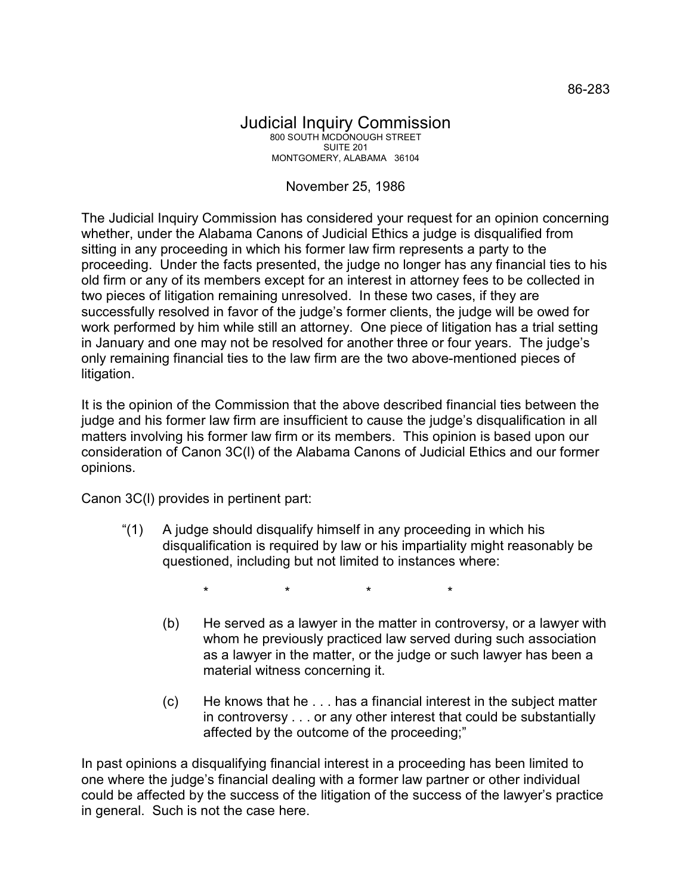## Judicial Inquiry Commission 800 SOUTH MCDONOUGH STREET SUITE 201 MONTGOMERY, ALABAMA 36104

## November 25, 1986

The Judicial Inquiry Commission has considered your request for an opinion concerning whether, under the Alabama Canons of Judicial Ethics a judge is disqualified from sitting in any proceeding in which his former law firm represents a party to the proceeding. Under the facts presented, the judge no longer has any financial ties to his old firm or any of its members except for an interest in attorney fees to be collected in two pieces of litigation remaining unresolved. In these two cases, if they are successfully resolved in favor of the judge's former clients, the judge will be owed for work performed by him while still an attorney. One piece of litigation has a trial setting in January and one may not be resolved for another three or four years. The judge's only remaining financial ties to the law firm are the two above-mentioned pieces of litigation.

It is the opinion of the Commission that the above described financial ties between the judge and his former law firm are insufficient to cause the judge's disqualification in all matters involving his former law firm or its members. This opinion is based upon our consideration of Canon 3C(l) of the Alabama Canons of Judicial Ethics and our former opinions.

Canon 3C(l) provides in pertinent part:

"(1) A judge should disqualify himself in any proceeding in which his disqualification is required by law or his impartiality might reasonably be questioned, including but not limited to instances where:

\* \* \* \*

- (b) He served as a lawyer in the matter in controversy, or a lawyer with whom he previously practiced law served during such association as a lawyer in the matter, or the judge or such lawyer has been a material witness concerning it.
- (c) He knows that he . . . has a financial interest in the subject matter in controversy . . . or any other interest that could be substantially affected by the outcome of the proceeding;"

In past opinions a disqualifying financial interest in a proceeding has been limited to one where the judge's financial dealing with a former law partner or other individual could be affected by the success of the litigation of the success of the lawyer's practice in general. Such is not the case here.